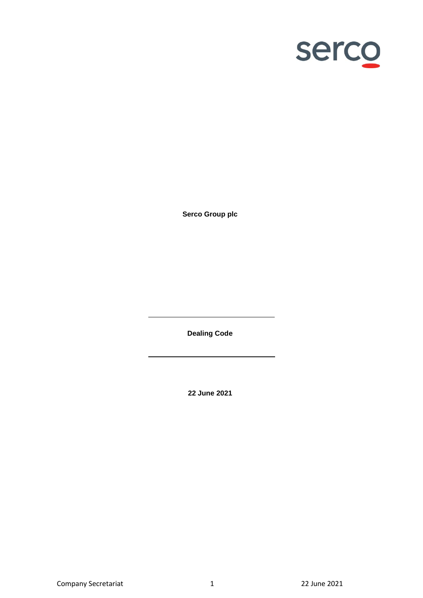

**Serco Group plc**

**Dealing Code**

**22 June 2021**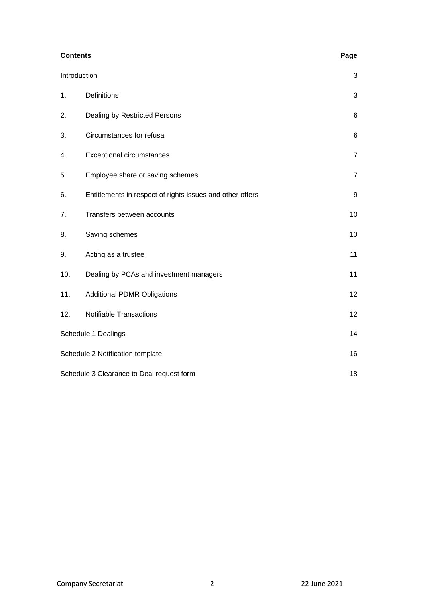| <b>Contents</b>                                 | Page                                                      |                |
|-------------------------------------------------|-----------------------------------------------------------|----------------|
| Introduction                                    | 3                                                         |                |
| 1.                                              | Definitions                                               | 3              |
| 2.                                              | Dealing by Restricted Persons                             | $\,6$          |
| 3.                                              | Circumstances for refusal                                 | $\,6$          |
| 4.                                              | <b>Exceptional circumstances</b>                          | $\overline{7}$ |
| 5.                                              | Employee share or saving schemes                          | $\overline{7}$ |
| 6.                                              | Entitlements in respect of rights issues and other offers | 9              |
| 7.                                              | Transfers between accounts                                | 10             |
| 8.                                              | Saving schemes                                            | 10             |
| 9.                                              | Acting as a trustee                                       | 11             |
| 10.                                             | Dealing by PCAs and investment managers                   | 11             |
| 11.                                             | <b>Additional PDMR Obligations</b>                        | 12             |
| 12.                                             | <b>Notifiable Transactions</b>                            | 12             |
| Schedule 1 Dealings                             |                                                           | 14             |
| Schedule 2 Notification template                |                                                           |                |
| Schedule 3 Clearance to Deal request form<br>18 |                                                           |                |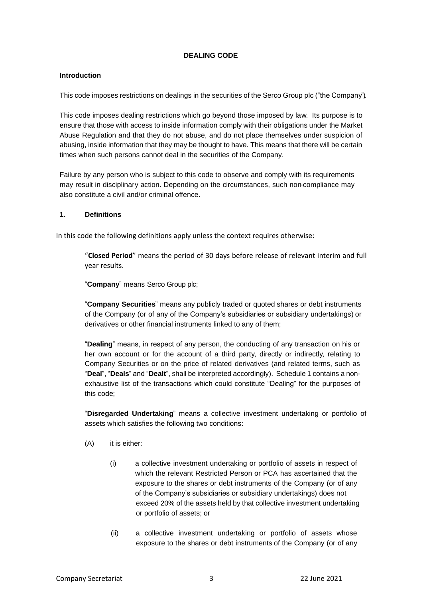## **DEALING CODE**

## <span id="page-2-0"></span>**Introduction**

This code imposes restrictions on dealings in the securities of the Serco Group plc ("the Company").

This code imposes dealing restrictions which go beyond those imposed by law. Its purpose is to ensure that those with access to inside information comply with their obligations under the Market Abuse Regulation and that they do not abuse, and do not place themselves under suspicion of abusing, inside information that they may be thought to have. This means that there will be certain times when such persons cannot deal in the securities of the Company.

Failure by any person who is subject to this code to observe and comply with its requirements may result in disciplinary action. Depending on the circumstances, such non-compliance may also constitute a civil and/or criminal offence.

#### <span id="page-2-1"></span>**1. Definitions**

In this code the following definitions apply unless the context requires otherwise:

"**Closed Period**" means the period of 30 days before release of relevant interim and full year results.

"**Company**" means Serco Group plc;

"**Company Securities**" means any publicly traded or quoted shares or debt instruments of the Company (or of any of the Company's subsidiaries or subsidiary undertakings) or derivatives or other financial instruments linked to any of them;

"**Dealing**" means, in respect of any person, the conducting of any transaction on his or her own account or for the account of a third party, directly or indirectly, relating to Company Securities or on the price of related derivatives (and related terms, such as "**Deal**", "**Deals**" and "**Dealt**", shall be interpreted accordingly). Schedule 1 contains a nonexhaustive list of the transactions which could constitute "Dealing" for the purposes of this code;

"**Disregarded Undertaking**" means a collective investment undertaking or portfolio of assets which satisfies the following two conditions:

- (A) it is either:
	- (i) a collective investment undertaking or portfolio of assets in respect of which the relevant Restricted Person or PCA has ascertained that the exposure to the shares or debt instruments of the Company (or of any of the Company's subsidiaries or subsidiary undertakings) does not exceed 20% of the assets held by that collective investment undertaking or portfolio of assets; or
	- (ii) a collective investment undertaking or portfolio of assets whose exposure to the shares or debt instruments of the Company (or of any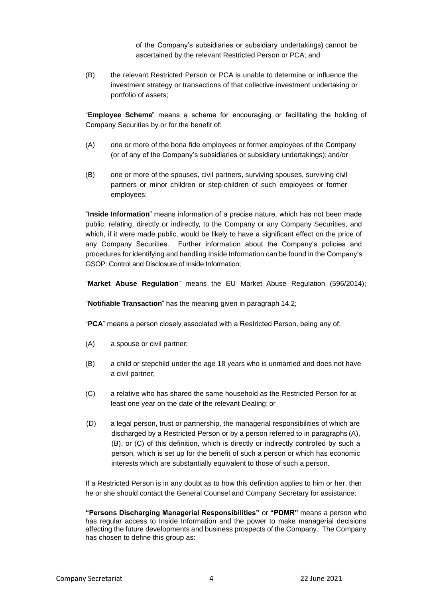of the Company's subsidiaries or subsidiary undertakings) cannot be ascertained by the relevant Restricted Person or PCA; and

(B) the relevant Restricted Person or PCA is unable to determine or influence the investment strategy or transactions of that collective investment undertaking or portfolio of assets;

"**Employee Scheme**" means a scheme for encouraging or facilitating the holding of Company Securities by or for the benefit of:

- (A) one or more of the bona fide employees or former employees of the Company (or of any of the Company's subsidiaries or subsidiary undertakings); and/or
- (B) one or more of the spouses, civil partners, surviving spouses, surviving civil partners or minor children or step-children of such employees or former employees;

"**Inside Information**" means information of a precise nature, which has not been made public, relating, directly or indirectly, to the Company or any Company Securities, and which, if it were made public, would be likely to have a significant effect on the price of any Company Securities. Further information about the Company's policies and procedures for identifying and handling Inside Information can be found in the Company's GSOP: Control and Disclosure of Inside Information;

"**Market Abuse Regulation**" means the EU Market Abuse Regulation (596/2014);

"**Notifiable Transaction**" has the meaning given in paragraph 14.2;

"**PCA**" means a person closely associated with a Restricted Person, being any of:

- (A) a spouse or civil partner;
- (B) a child or stepchild under the age 18 years who is unmarried and does not have a civil partner;
- (C) a relative who has shared the same household as the Restricted Person for at least one year on the date of the relevant Dealing; or
- (D) a legal person, trust or partnership, the managerial responsibilities of which are discharged by a Restricted Person or by a person referred to in paragraphs (A), (B), or (C) of this definition, which is directly or indirectly controlled by such a person, which is set up for the benefit of such a person or which has economic interests which are substantially equivalent to those of such a person.

If a Restricted Person is in any doubt as to how this definition applies to him or her, then he or she should contact the General Counsel and Company Secretary for assistance;

**"Persons Discharging Managerial Responsibilities"** or **"PDMR"** means a person who has regular access to Inside Information and the power to make managerial decisions affecting the future developments and business prospects of the Company. The Company has chosen to define this group as: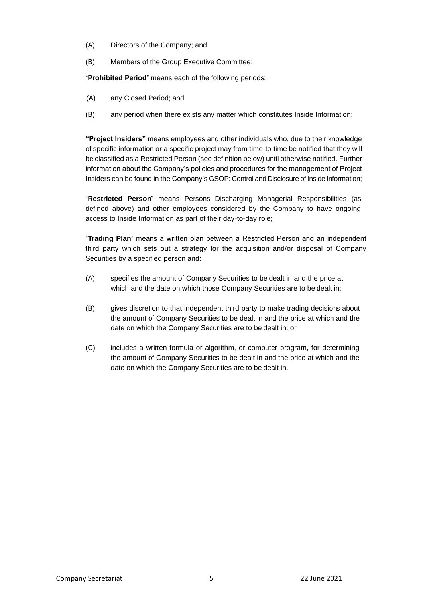- (A) Directors of the Company; and
- (B) Members of the Group Executive Committee;

"**Prohibited Period**" means each of the following periods:

- (A) any Closed Period; and
- (B) any period when there exists any matter which constitutes Inside Information;

**"Project Insiders"** means employees and other individuals who, due to their knowledge of specific information or a specific project may from time-to-time be notified that they will be classified as a Restricted Person (see definition below) until otherwise notified. Further information about the Company's policies and procedures for the management of Project Insiders can be found in the Company's GSOP: Control and Disclosure of Inside Information;

"**Restricted Person**" means Persons Discharging Managerial Responsibilities (as defined above) and other employees considered by the Company to have ongoing access to Inside Information as part of their day-to-day role;

"**Trading Plan**" means a written plan between a Restricted Person and an independent third party which sets out a strategy for the acquisition and/or disposal of Company Securities by a specified person and:

- (A) specifies the amount of Company Securities to be dealt in and the price at which and the date on which those Company Securities are to be dealt in;
- (B) gives discretion to that independent third party to make trading decisions about the amount of Company Securities to be dealt in and the price at which and the date on which the Company Securities are to be dealt in; or
- (C) includes a written formula or algorithm, or computer program, for determining the amount of Company Securities to be dealt in and the price at which and the date on which the Company Securities are to be dealt in.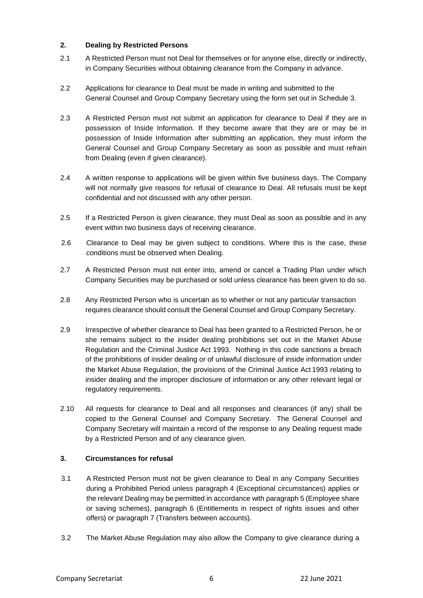# <span id="page-5-0"></span>**2. Dealing by Restricted Persons**

- 2.1 A Restricted Person must not Deal for themselves or for anyone else, directly or indirectly, in Company Securities without obtaining clearance from the Company in advance.
- 2.2 Applications for clearance to Deal must be made in writing and submitted to the General Counsel and Group Company Secretary using the form set out in Schedule 3.
- 2.3 A Restricted Person must not submit an application for clearance to Deal if they are in possession of Inside Information. If they become aware that they are or may be in possession of Inside Information after submitting an application, they must inform the General Counsel and Group Company Secretary as soon as possible and must refrain from Dealing (even if given clearance).
- 2.4 A written response to applications will be given within five business days. The Company will not normally give reasons for refusal of clearance to Deal. All refusals must be kept confidential and not discussed with any other person.
- 2.5 If a Restricted Person is given clearance, they must Deal as soon as possible and in any event within two business days of receiving clearance.
- 2.6 Clearance to Deal may be given subject to conditions. Where this is the case, these conditions must be observed when Dealing.
- 2.7 A Restricted Person must not enter into, amend or cancel a Trading Plan under which Company Securities may be purchased or sold unless clearance has been given to do so.
- 2.8 Any Restricted Person who is uncertain as to whether or not any particular transaction requires clearance should consult the General Counsel and Group Company Secretary.
- 2.9 Irrespective of whether clearance to Deal has been granted to a Restricted Person, he or she remains subject to the insider dealing prohibitions set out in the Market Abuse Regulation and the Criminal Justice Act 1993. Nothing in this code sanctions a breach of the prohibitions of insider dealing or of unlawful disclosure of inside information under the Market Abuse Regulation, the provisions of the Criminal Justice Act 1993 relating to insider dealing and the improper disclosure of information or any other relevant legal or regulatory requirements.
- 2.10 All requests for clearance to Deal and all responses and clearances (if any) shall be copied to the General Counsel and Company Secretary. The General Counsel and Company Secretary will maintain a record of the response to any Dealing request made by a Restricted Person and of any clearance given.

## <span id="page-5-1"></span>**3. Circumstances for refusal**

- 3.1 A Restricted Person must not be given clearance to Deal in any Company Securities during a Prohibited Period unless paragraph 4 (Exceptional circumstances) applies or the relevant Dealing may be permitted in accordance with paragraph 5 (Employee share or saving schemes), paragraph 6 (Entitlements in respect of rights issues and other offers) or paragraph 7 (Transfers between accounts).
- 3.2 The Market Abuse Regulation may also allow the Company to give clearance during a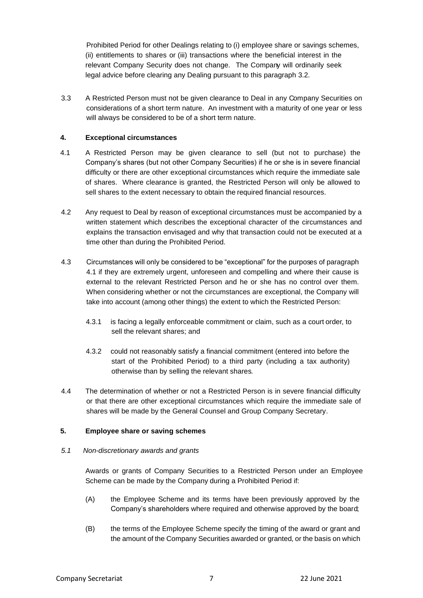Prohibited Period for other Dealings relating to (i) employee share or savings schemes, (ii) entitlements to shares or (iii) transactions where the beneficial interest in the relevant Company Security does not change. The Company will ordinarily seek legal advice before clearing any Dealing pursuant to this paragraph 3.2.

3.3 A Restricted Person must not be given clearance to Deal in any Company Securities on considerations of a short term nature. An investment with a maturity of one year or less will always be considered to be of a short term nature.

## <span id="page-6-0"></span>**4. Exceptional circumstances**

- 4.1 A Restricted Person may be given clearance to sell (but not to purchase) the Company's shares (but not other Company Securities) if he or she is in severe financial difficulty or there are other exceptional circumstances which require the immediate sale of shares. Where clearance is granted, the Restricted Person will only be allowed to sell shares to the extent necessary to obtain the required financial resources.
- 4.2 Any request to Deal by reason of exceptional circumstances must be accompanied by a written statement which describes the exceptional character of the circumstances and explains the transaction envisaged and why that transaction could not be executed at a time other than during the Prohibited Period.
- 4.3 Circumstances will only be considered to be "exceptional" for the purposes of paragraph 4.1 if they are extremely urgent, unforeseen and compelling and where their cause is external to the relevant Restricted Person and he or she has no control over them. When considering whether or not the circumstances are exceptional, the Company will take into account (among other things) the extent to which the Restricted Person:
	- 4.3.1 is facing a legally enforceable commitment or claim, such as a court order, to sell the relevant shares; and
	- 4.3.2 could not reasonably satisfy a financial commitment (entered into before the start of the Prohibited Period) to a third party (including a tax authority) otherwise than by selling the relevant shares.
- 4.4 The determination of whether or not a Restricted Person is in severe financial difficulty or that there are other exceptional circumstances which require the immediate sale of shares will be made by the General Counsel and Group Company Secretary.

## <span id="page-6-1"></span>**5. Employee share or saving schemes**

## *5.1 Non-discretionary awards and grants*

Awards or grants of Company Securities to a Restricted Person under an Employee Scheme can be made by the Company during a Prohibited Period if:

- (A) the Employee Scheme and its terms have been previously approved by the Company's shareholders where required and otherwise approved by the board;
- (B) the terms of the Employee Scheme specify the timing of the award or grant and the amount of the Company Securities awarded or granted, or the basis on which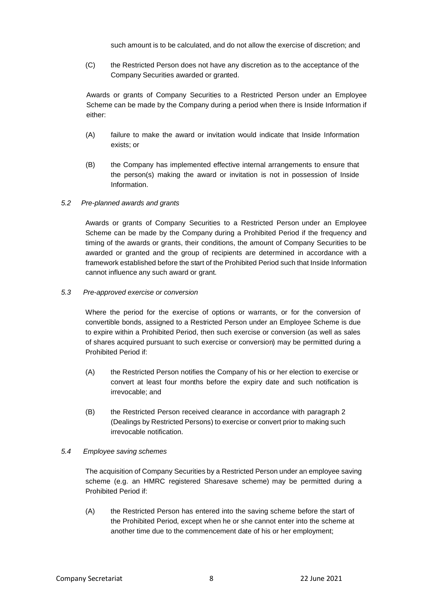such amount is to be calculated, and do not allow the exercise of discretion; and

(C) the Restricted Person does not have any discretion as to the acceptance of the Company Securities awarded or granted.

Awards or grants of Company Securities to a Restricted Person under an Employee Scheme can be made by the Company during a period when there is Inside Information if either:

- (A) failure to make the award or invitation would indicate that Inside Information exists; or
- (B) the Company has implemented effective internal arrangements to ensure that the person(s) making the award or invitation is not in possession of Inside Information.

## *5.2 Pre-planned awards and grants*

Awards or grants of Company Securities to a Restricted Person under an Employee Scheme can be made by the Company during a Prohibited Period if the frequency and timing of the awards or grants, their conditions, the amount of Company Securities to be awarded or granted and the group of recipients are determined in accordance with a framework established before the start of the Prohibited Period such that Inside Information cannot influence any such award or grant.

#### *5.3 Pre-approved exercise or conversion*

Where the period for the exercise of options or warrants, or for the conversion of convertible bonds, assigned to a Restricted Person under an Employee Scheme is due to expire within a Prohibited Period, then such exercise or conversion (as well as sales of shares acquired pursuant to such exercise or conversion) may be permitted during a Prohibited Period if:

- (A) the Restricted Person notifies the Company of his or her election to exercise or convert at least four months before the expiry date and such notification is irrevocable; and
- (B) the Restricted Person received clearance in accordance with paragraph 2 (Dealings by Restricted Persons) to exercise or convert prior to making such irrevocable notification.

## *5.4 Employee saving schemes*

The acquisition of Company Securities by a Restricted Person under an employee saving scheme (e.g. an HMRC registered Sharesave scheme) may be permitted during a Prohibited Period if:

(A) the Restricted Person has entered into the saving scheme before the start of the Prohibited Period, except when he or she cannot enter into the scheme at another time due to the commencement date of his or her employment;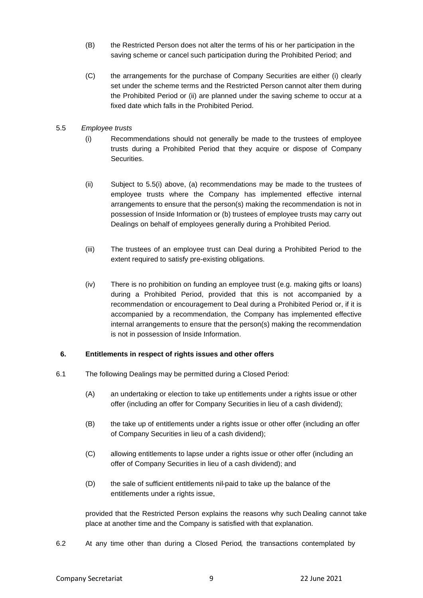- (B) the Restricted Person does not alter the terms of his or her participation in the saving scheme or cancel such participation during the Prohibited Period; and
- (C) the arrangements for the purchase of Company Securities are either (i) clearly set under the scheme terms and the Restricted Person cannot alter them during the Prohibited Period or (ii) are planned under the saving scheme to occur at a fixed date which falls in the Prohibited Period.

## 5.5 *Employee trusts*

- (i) Recommendations should not generally be made to the trustees of employee trusts during a Prohibited Period that they acquire or dispose of Company Securities.
- (ii) Subject to 5.5(i) above, (a) recommendations may be made to the trustees of employee trusts where the Company has implemented effective internal arrangements to ensure that the person(s) making the recommendation is not in possession of Inside Information or (b) trustees of employee trusts may carry out Dealings on behalf of employees generally during a Prohibited Period.
- (iii) The trustees of an employee trust can Deal during a Prohibited Period to the extent required to satisfy pre-existing obligations.
- (iv) There is no prohibition on funding an employee trust (e.g. making gifts or loans) during a Prohibited Period, provided that this is not accompanied by a recommendation or encouragement to Deal during a Prohibited Period or, if it is accompanied by a recommendation, the Company has implemented effective internal arrangements to ensure that the person(s) making the recommendation is not in possession of Inside Information.

## <span id="page-8-0"></span>**6. Entitlements in respect of rights issues and other offers**

- 6.1 The following Dealings may be permitted during a Closed Period:
	- (A) an undertaking or election to take up entitlements under a rights issue or other offer (including an offer for Company Securities in lieu of a cash dividend);
	- (B) the take up of entitlements under a rights issue or other offer (including an offer of Company Securities in lieu of a cash dividend);
	- (C) allowing entitlements to lapse under a rights issue or other offer (including an offer of Company Securities in lieu of a cash dividend); and
	- (D) the sale of sufficient entitlements nil-paid to take up the balance of the entitlements under a rights issue,

provided that the Restricted Person explains the reasons why such Dealing cannot take place at another time and the Company is satisfied with that explanation.

6.2 At any time other than during a Closed Period, the transactions contemplated by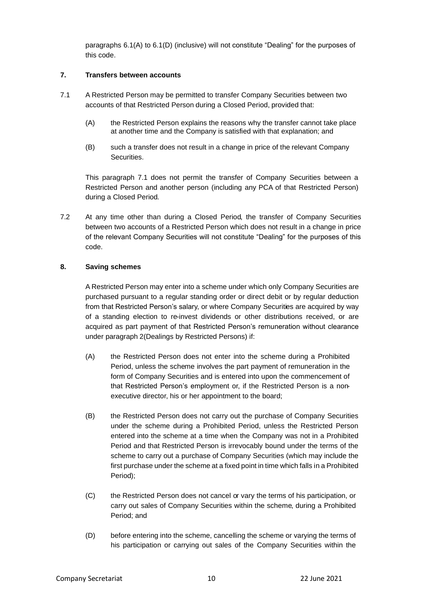paragraphs 6.1(A) to 6.1(D) (inclusive) will not constitute "Dealing" for the purposes of this code.

## <span id="page-9-0"></span>**7. Transfers between accounts**

- 7.1 A Restricted Person may be permitted to transfer Company Securities between two accounts of that Restricted Person during a Closed Period, provided that:
	- (A) the Restricted Person explains the reasons why the transfer cannot take place at another time and the Company is satisfied with that explanation; and
	- (B) such a transfer does not result in a change in price of the relevant Company Securities.

This paragraph 7.1 does not permit the transfer of Company Securities between a Restricted Person and another person (including any PCA of that Restricted Person) during a Closed Period.

7.2 At any time other than during a Closed Period, the transfer of Company Securities between two accounts of a Restricted Person which does not result in a change in price of the relevant Company Securities will not constitute "Dealing" for the purposes of this code.

## <span id="page-9-1"></span>**8. Saving schemes**

A Restricted Person may enter into a scheme under which only Company Securities are purchased pursuant to a regular standing order or direct debit or by regular deduction from that Restricted Person's salary, or where Company Securities are acquired by way of a standing election to re-invest dividends or other distributions received, or are acquired as part payment of that Restricted Person's remuneration without clearance under paragraph 2(Dealings by Restricted Persons) if:

- (A) the Restricted Person does not enter into the scheme during a Prohibited Period, unless the scheme involves the part payment of remuneration in the form of Company Securities and is entered into upon the commencement of that Restricted Person's employment or, if the Restricted Person is a nonexecutive director, his or her appointment to the board;
- (B) the Restricted Person does not carry out the purchase of Company Securities under the scheme during a Prohibited Period, unless the Restricted Person entered into the scheme at a time when the Company was not in a Prohibited Period and that Restricted Person is irrevocably bound under the terms of the scheme to carry out a purchase of Company Securities (which may include the first purchase under the scheme at a fixed point in time which falls in a Prohibited Period);
- (C) the Restricted Person does not cancel or vary the terms of his participation, or carry out sales of Company Securities within the scheme, during a Prohibited Period; and
- (D) before entering into the scheme, cancelling the scheme or varying the terms of his participation or carrying out sales of the Company Securities within the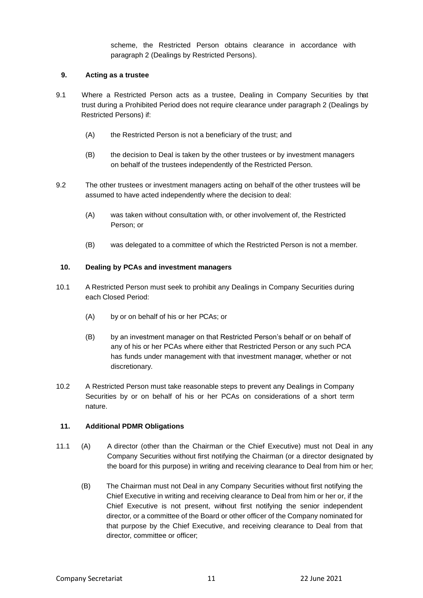scheme, the Restricted Person obtains clearance in accordance with paragraph 2 (Dealings by Restricted Persons).

## <span id="page-10-0"></span>**9. Acting as a trustee**

- 9.1 Where a Restricted Person acts as a trustee, Dealing in Company Securities by that trust during a Prohibited Period does not require clearance under paragraph 2 (Dealings by Restricted Persons) if:
	- (A) the Restricted Person is not a beneficiary of the trust; and
	- (B) the decision to Deal is taken by the other trustees or by investment managers on behalf of the trustees independently of the Restricted Person.
- 9.2 The other trustees or investment managers acting on behalf of the other trustees will be assumed to have acted independently where the decision to deal:
	- (A) was taken without consultation with, or other involvement of, the Restricted Person; or
	- (B) was delegated to a committee of which the Restricted Person is not a member.

## <span id="page-10-1"></span>**10. Dealing by PCAs and investment managers**

- 10.1 A Restricted Person must seek to prohibit any Dealings in Company Securities during each Closed Period:
	- (A) by or on behalf of his or her PCAs; or
	- (B) by an investment manager on that Restricted Person's behalf or on behalf of any of his or her PCAs where either that Restricted Person or any such PCA has funds under management with that investment manager, whether or not discretionary.
- 10.2 A Restricted Person must take reasonable steps to prevent any Dealings in Company Securities by or on behalf of his or her PCAs on considerations of a short term nature.

## **11. Additional PDMR Obligations**

- 11.1 (A) A director (other than the Chairman or the Chief Executive) must not Deal in any Company Securities without first notifying the Chairman (or a director designated by the board for this purpose) in writing and receiving clearance to Deal from him or her;
	- (B) The Chairman must not Deal in any Company Securities without first notifying the Chief Executive in writing and receiving clearance to Deal from him or her or, if the Chief Executive is not present, without first notifying the senior independent director, or a committee of the Board or other officer of the Company nominated for that purpose by the Chief Executive, and receiving clearance to Deal from that director, committee or officer;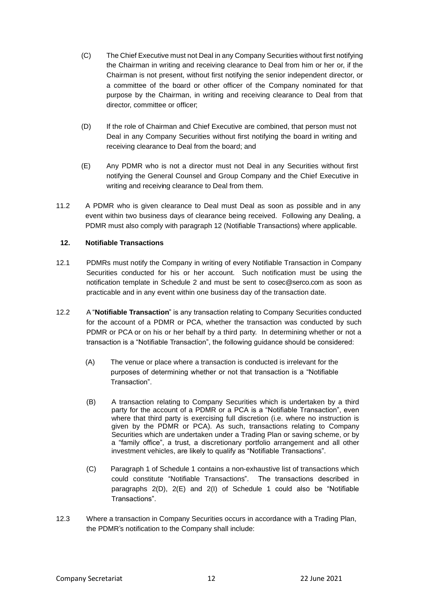- (C) The Chief Executive must not Deal in any Company Securities without first notifying the Chairman in writing and receiving clearance to Deal from him or her or, if the Chairman is not present, without first notifying the senior independent director, or a committee of the board or other officer of the Company nominated for that purpose by the Chairman, in writing and receiving clearance to Deal from that director, committee or officer;
- (D) If the role of Chairman and Chief Executive are combined, that person must not Deal in any Company Securities without first notifying the board in writing and receiving clearance to Deal from the board; and
- (E) Any PDMR who is not a director must not Deal in any Securities without first notifying the General Counsel and Group Company and the Chief Executive in writing and receiving clearance to Deal from them.
- 11.2 A PDMR who is given clearance to Deal must Deal as soon as possible and in any event within two business days of clearance being received. Following any Dealing, a PDMR must also comply with paragraph 12 (Notifiable Transactions) where applicable.

## <span id="page-11-0"></span>**12. Notifiable Transactions**

- 12.1 PDMRs must notify the Company in writing of every Notifiable Transaction in Company Securities conducted for his or her account. Such notification must be using the notification template in Schedule 2 and must be sent to cosec@serco.com as soon as practicable and in any event within one business day of the transaction date.
- 12.2 A "**Notifiable Transaction**" is any transaction relating to Company Securities conducted for the account of a PDMR or PCA, whether the transaction was conducted by such PDMR or PCA or on his or her behalf by a third party. In determining whether or not a transaction is a "Notifiable Transaction", the following guidance should be considered:
	- (A) The venue or place where a transaction is conducted is irrelevant for the purposes of determining whether or not that transaction is a "Notifiable Transaction".
	- (B) A transaction relating to Company Securities which is undertaken by a third party for the account of a PDMR or a PCA is a "Notifiable Transaction", even where that third party is exercising full discretion (i.e. where no instruction is given by the PDMR or PCA). As such, transactions relating to Company Securities which are undertaken under a Trading Plan or saving scheme, or by a "family office", a trust, a discretionary portfolio arrangement and all other investment vehicles, are likely to qualify as "Notifiable Transactions".
	- (C) Paragraph 1 of Schedule 1 contains a non-exhaustive list of transactions which could constitute "Notifiable Transactions". The transactions described in paragraphs 2(D), 2(E) and 2(I) of Schedule 1 could also be "Notifiable Transactions".
- 12.3 Where a transaction in Company Securities occurs in accordance with a Trading Plan, the PDMR's notification to the Company shall include: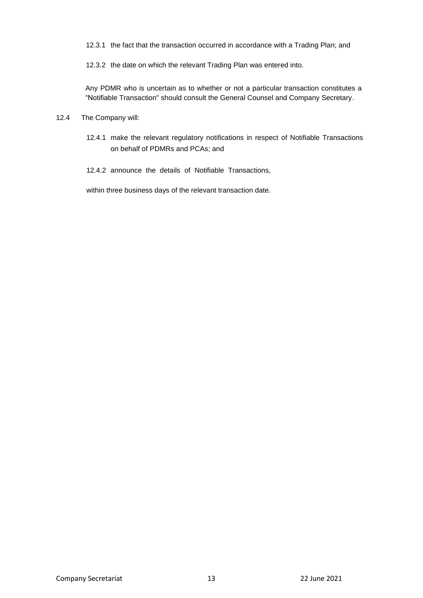12.3.1 the fact that the transaction occurred in accordance with a Trading Plan; and

12.3.2 the date on which the relevant Trading Plan was entered into.

Any PDMR who is uncertain as to whether or not a particular transaction constitutes a "Notifiable Transaction" should consult the General Counsel and Company Secretary.

#### 12.4 The Company will:

12.4.1 make the relevant regulatory notifications in respect of Notifiable Transactions on behalf of PDMRs and PCAs; and

12.4.2 announce the details of Notifiable Transactions,

within three business days of the relevant transaction date.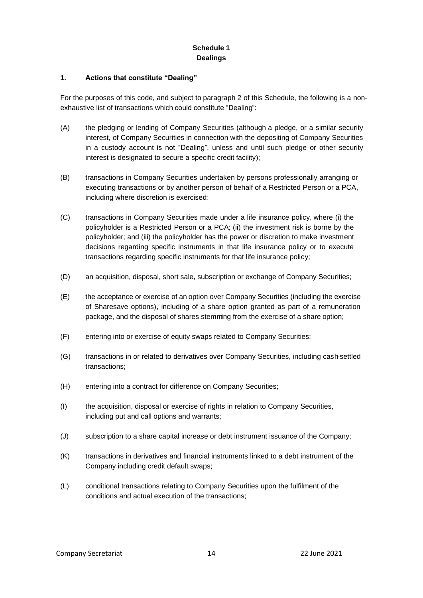# **Schedule 1 Dealings**

## <span id="page-13-0"></span>**1. Actions that constitute "Dealing"**

For the purposes of this code, and subject to paragraph 2 of this Schedule, the following is a nonexhaustive list of transactions which could constitute "Dealing":

- (A) the pledging or lending of Company Securities (although a pledge, or a similar security interest, of Company Securities in connection with the depositing of Company Securities in a custody account is not "Dealing", unless and until such pledge or other security interest is designated to secure a specific credit facility);
- (B) transactions in Company Securities undertaken by persons professionally arranging or executing transactions or by another person of behalf of a Restricted Person or a PCA, including where discretion is exercised;
- (C) transactions in Company Securities made under a life insurance policy, where (i) the policyholder is a Restricted Person or a PCA; (ii) the investment risk is borne by the policyholder; and (iii) the policyholder has the power or discretion to make investment decisions regarding specific instruments in that life insurance policy or to execute transactions regarding specific instruments for that life insurance policy;
- (D) an acquisition, disposal, short sale, subscription or exchange of Company Securities;
- (E) the acceptance or exercise of an option over Company Securities (including the exercise of Sharesave options), including of a share option granted as part of a remuneration package, and the disposal of shares stemming from the exercise of a share option;
- (F) entering into or exercise of equity swaps related to Company Securities;
- (G) transactions in or related to derivatives over Company Securities, including cash-settled transactions;
- (H) entering into a contract for difference on Company Securities;
- (I) the acquisition, disposal or exercise of rights in relation to Company Securities, including put and call options and warrants;
- (J) subscription to a share capital increase or debt instrument issuance of the Company;
- (K) transactions in derivatives and financial instruments linked to a debt instrument of the Company including credit default swaps;
- (L) conditional transactions relating to Company Securities upon the fulfilment of the conditions and actual execution of the transactions;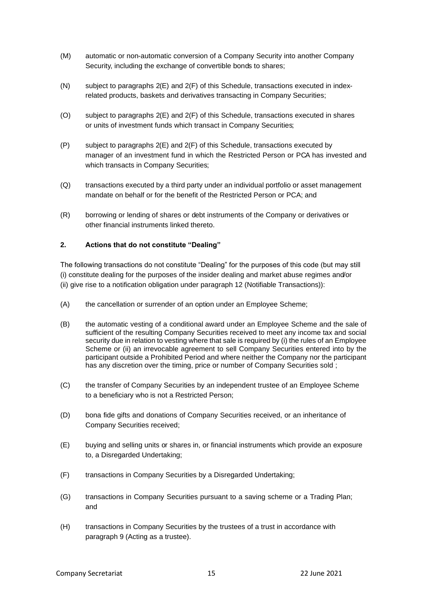- (M) automatic or non-automatic conversion of a Company Security into another Company Security, including the exchange of convertible bonds to shares;
- (N) subject to paragraphs 2(E) and 2(F) of this Schedule, transactions executed in indexrelated products, baskets and derivatives transacting in Company Securities;
- (O) subject to paragraphs 2(E) and 2(F) of this Schedule, transactions executed in shares or units of investment funds which transact in Company Securities;
- (P) subject to paragraphs 2(E) and 2(F) of this Schedule, transactions executed by manager of an investment fund in which the Restricted Person or PCA has invested and which transacts in Company Securities;
- (Q) transactions executed by a third party under an individual portfolio or asset management mandate on behalf or for the benefit of the Restricted Person or PCA; and
- (R) borrowing or lending of shares or debt instruments of the Company or derivatives or other financial instruments linked thereto.

## **2. Actions that do not constitute "Dealing"**

The following transactions do not constitute "Dealing" for the purposes of this code (but may still (i) constitute dealing for the purposes of the insider dealing and market abuse regimes and/or (ii) give rise to a notification obligation under paragraph 12 (Notifiable Transactions)):

- (A) the cancellation or surrender of an option under an Employee Scheme;
- (B) the automatic vesting of a conditional award under an Employee Scheme and the sale of sufficient of the resulting Company Securities received to meet any income tax and social security due in relation to vesting where that sale is required by (i) the rules of an Employee Scheme or (ii) an irrevocable agreement to sell Company Securities entered into by the participant outside a Prohibited Period and where neither the Company nor the participant has any discretion over the timing, price or number of Company Securities sold;
- (C) the transfer of Company Securities by an independent trustee of an Employee Scheme to a beneficiary who is not a Restricted Person;
- (D) bona fide gifts and donations of Company Securities received, or an inheritance of Company Securities received;
- (E) buying and selling units or shares in, or financial instruments which provide an exposure to, a Disregarded Undertaking;
- (F) transactions in Company Securities by a Disregarded Undertaking;
- (G) transactions in Company Securities pursuant to a saving scheme or a Trading Plan; and
- (H) transactions in Company Securities by the trustees of a trust in accordance with paragraph 9 (Acting as a trustee).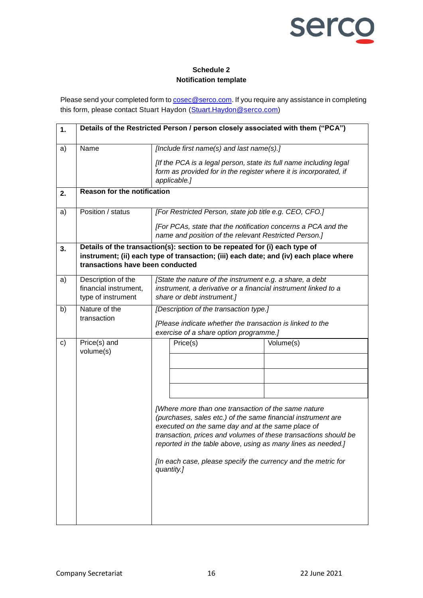

# **Schedule 2 Notification template**

<span id="page-15-0"></span>Please send your completed form to **cosec@serco.com**. If you require any assistance in completing this form, please contact Stuart Haydon [\(Stuart.Haydon@serco.com\)](mailto:Stuart.Haydon@serco.com)

| 1.            | Details of the Restricted Person / person closely associated with them ("PCA") |                                                                                                                                                                                                                                                                                                                                                                                            |           |  |  |
|---------------|--------------------------------------------------------------------------------|--------------------------------------------------------------------------------------------------------------------------------------------------------------------------------------------------------------------------------------------------------------------------------------------------------------------------------------------------------------------------------------------|-----------|--|--|
| a)            | Name                                                                           | [Include first name(s) and last name(s).]<br>[If the PCA is a legal person, state its full name including legal<br>form as provided for in the register where it is incorporated, if<br>applicable.]                                                                                                                                                                                       |           |  |  |
| 2.            | <b>Reason for the notification</b>                                             |                                                                                                                                                                                                                                                                                                                                                                                            |           |  |  |
| a)            | Position / status                                                              | [For Restricted Person, state job title e.g. CEO, CFO.]<br>[For PCAs, state that the notification concerns a PCA and the<br>name and position of the relevant Restricted Person.]                                                                                                                                                                                                          |           |  |  |
| 3.            | transactions have been conducted                                               | Details of the transaction(s): section to be repeated for (i) each type of<br>instrument; (ii) each type of transaction; (iii) each date; and (iv) each place where                                                                                                                                                                                                                        |           |  |  |
| a)            | Description of the<br>financial instrument,<br>type of instrument              | [State the nature of the instrument e.g. a share, a debt<br>instrument, a derivative or a financial instrument linked to a<br>share or debt instrument.]                                                                                                                                                                                                                                   |           |  |  |
| b)            | Nature of the<br>transaction                                                   | [Description of the transaction type.]<br>[Please indicate whether the transaction is linked to the<br>exercise of a share option programme.]                                                                                                                                                                                                                                              |           |  |  |
| $\mathsf{c})$ | $Price(s)$ and<br>volume(s)                                                    | Price(s)                                                                                                                                                                                                                                                                                                                                                                                   | Volume(s) |  |  |
|               |                                                                                |                                                                                                                                                                                                                                                                                                                                                                                            |           |  |  |
|               |                                                                                | [Where more than one transaction of the same nature<br>(purchases, sales etc.) of the same financial instrument are<br>executed on the same day and at the same place of<br>transaction, prices and volumes of these transactions should be<br>reported in the table above, using as many lines as needed.]<br>[In each case, please specify the currency and the metric for<br>quantity.] |           |  |  |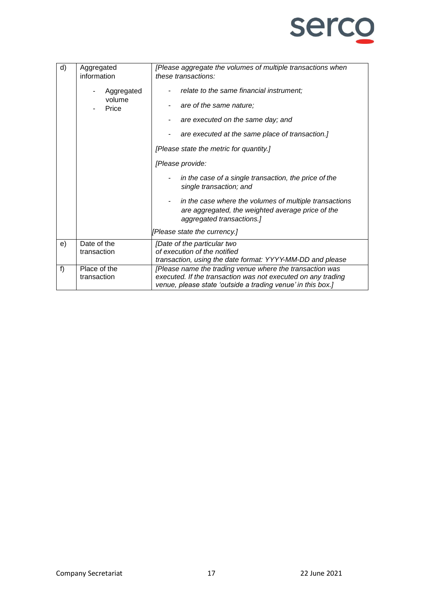

| d) | Aggregated                                   | [Please aggregate the volumes of multiple transactions when                                                                                                                                                                                            |  |
|----|----------------------------------------------|--------------------------------------------------------------------------------------------------------------------------------------------------------------------------------------------------------------------------------------------------------|--|
|    | information<br>Aggregated<br>volume<br>Price | these transactions:<br>relate to the same financial instrument;<br>are of the same nature;<br>۰<br>are executed on the same day; and<br>are executed at the same place of transaction.]<br>[Please state the metric for quantity.]<br>[Please provide: |  |
|    |                                              | in the case of a single transaction, the price of the<br>single transaction; and                                                                                                                                                                       |  |
|    |                                              | in the case where the volumes of multiple transactions<br>٠<br>are aggregated, the weighted average price of the<br>aggregated transactions.]                                                                                                          |  |
|    |                                              | [Please state the currency.]                                                                                                                                                                                                                           |  |
| e) | Date of the<br>transaction                   | [Date of the particular two<br>of execution of the notified<br>transaction, using the date format: YYYY-MM-DD and please                                                                                                                               |  |
| f) | Place of the<br>transaction                  | [Please name the trading venue where the transaction was<br>executed. If the transaction was not executed on any trading<br>venue, please state 'outside a trading venue' in this box.]                                                                |  |